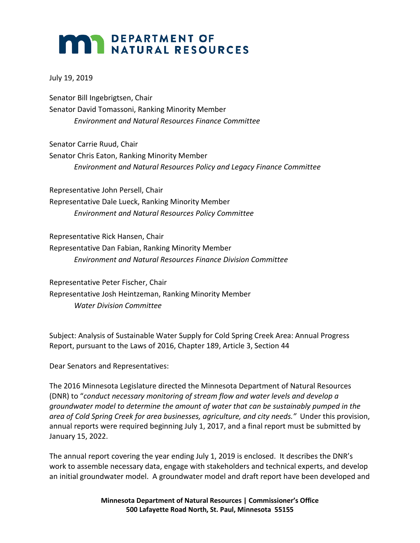## **MAR DEPARTMENT OF NATURAL RESOURCES**

July 19, 2019

Senator Bill Ingebrigtsen, Chair Senator David Tomassoni, Ranking Minority Member *Environment and Natural Resources Finance Committee* 

Senator Carrie Ruud, Chair Senator Chris Eaton, Ranking Minority Member *Environment and Natural Resources Policy and Legacy Finance Committee* 

Representative John Persell, Chair Representative Dale Lueck, Ranking Minority Member *Environment and Natural Resources Policy Committee*

Representative Rick Hansen, Chair Representative Dan Fabian, Ranking Minority Member *Environment and Natural Resources Finance Division Committee*

Representative Peter Fischer, Chair Representative Josh Heintzeman, Ranking Minority Member *Water Division Committee*

Subject: Analysis of Sustainable Water Supply for Cold Spring Creek Area: Annual Progress Report, pursuant to the Laws of 2016, Chapter 189, Article 3, Section 44

Dear Senators and Representatives:

The 2016 Minnesota Legislature directed the Minnesota Department of Natural Resources (DNR) to "*conduct necessary monitoring of stream flow and water levels and develop a groundwater model to determine the amount of water that can be sustainably pumped in the area of Cold Spring Creek for area businesses, agriculture, and city needs."* Under this provision, annual reports were required beginning July 1, 2017, and a final report must be submitted by January 15, 2022.

The annual report covering the year ending July 1, 2019 is enclosed. It describes the DNR's work to assemble necessary data, engage with stakeholders and technical experts, and develop an initial groundwater model. A groundwater model and draft report have been developed and

> **Minnesota Department of Natural Resources | Commissioner's Office 500 Lafayette Road North, St. Paul, Minnesota 55155**